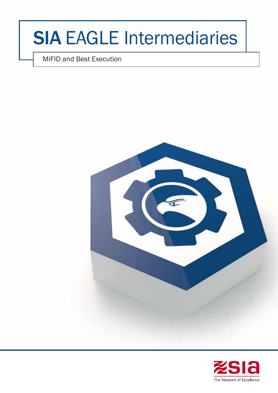# SIA EAGLE Intermediaries

MiFID and Best Execution



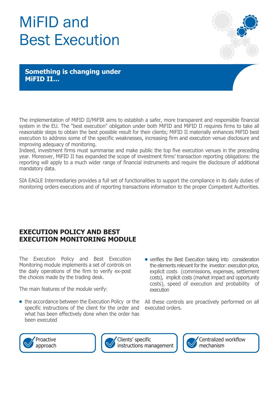# MiFID and Best Execution



**Something is changing under MiFID II…**

The implementation of MiFID II/MiFIR aims to establish a safer, more transparent and responsible financial system in the EU. The "best execution" obligation under both MiFID and MiFID II requires firms to take all reasonable steps to obtain the best possible result for their clients; MiFID II materially enhances MiFID best execution to address some of the specific weaknesses, increasing firm and execution venue disclosure and improving adequacy of monitoring.

Indeed, investment firms must summarise and make public the top five execution venues in the preceding year. Moreover, MiFID II has expanded the scope of investment firms' transaction reporting obligations: the reporting will apply to a much wider range of financial instruments and require the disclosure of additional mandatory data.

SIA EAGLE Intermediaries provides a full set of functionalities to support the compliance in its daily duties of monitoring orders executions and of reporting transactions information to the proper Competent Authorities.

## **EXECUTION POLICY AND BEST EXECUTION MONITORING MODULE**

The Execution Policy and Best Execution Monitoring module implements a set of controls on the daily operations of the firm to verify ex-post the choices made by the trading desk.

The main features of the module verify:

- the accordance between the Execution Policy or the specific instructions of the client for the order and what has been effectively done when the order has been executed
- verifies the Best Execution taking into consideration the elements relevant for the investor: execution price, explicit costs (commissions, expenses, settlement costs), implicit costs (market impact and opportunity costs), speed of execution and probability of execution

All these controls are proactively performed on all executed orders.





Clients' specific instructions management

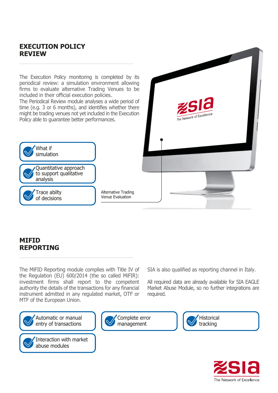#### **EXECUTION POLICY REVIEW**

The Execution Policy monitoring is completed by its periodical review: a simulation environment allowing firms to evaluate alternative Trading Venues to be included in their official execution policies.

The Periodical Review module analyses a wide period of time (e.g. 3 or 6 months), and identifies whether there might be trading venues not yet included in the Execution Policy able to guarantee better performances.



Alternative Trading Venue Evaluation

### **MIFID REPORTING**

The MiFID Reporting module complies with Title IV of the Regulation (EU) 600/2014 (the so called MiFIR): investment firms shall report to the competent authority the details of the transactions for any financial instrument admitted in any regulated market, OTF or MTF of the European Union.

Automatic or manual entry of transactions



Interaction with market abuse modules



SIA is also qualified as reporting channel in Italy.

The Network of Excellenc

All required data are already available for SIA EAGLE Market Abuse Module, so no further integrations are required.